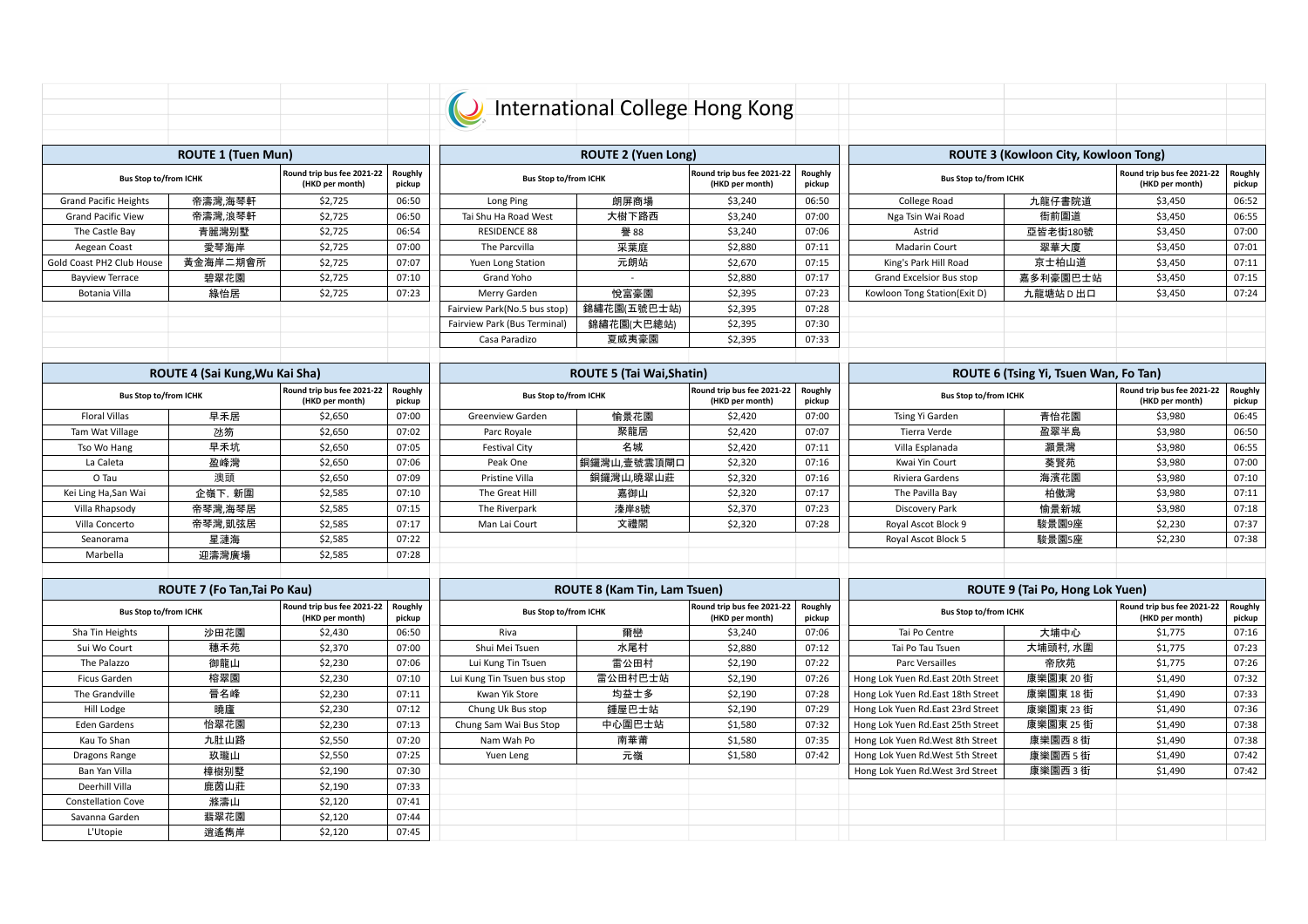|                              |                                |                                               |                   | International College Hong Kong |                                     |                                               |                   |                                   |                                       |                                               |                   |
|------------------------------|--------------------------------|-----------------------------------------------|-------------------|---------------------------------|-------------------------------------|-----------------------------------------------|-------------------|-----------------------------------|---------------------------------------|-----------------------------------------------|-------------------|
|                              |                                |                                               |                   |                                 |                                     |                                               |                   |                                   |                                       |                                               |                   |
|                              |                                |                                               |                   |                                 |                                     |                                               |                   |                                   |                                       |                                               |                   |
|                              | <b>ROUTE 1 (Tuen Mun)</b>      |                                               |                   |                                 | <b>ROUTE 2 (Yuen Long)</b>          |                                               |                   |                                   | ROUTE 3 (Kowloon City, Kowloon Tong)  |                                               |                   |
| <b>Bus Stop to/from ICHK</b> |                                | Round trip bus fee 2021-22<br>(HKD per month) | Roughly<br>pickup | <b>Bus Stop to/from ICHK</b>    |                                     | Round trip bus fee 2021-22<br>(HKD per month) | Roughly<br>pickup | <b>Bus Stop to/from ICHK</b>      |                                       | Round trip bus fee 2021-22<br>(HKD per month) | Roughly<br>pickup |
| <b>Grand Pacific Heights</b> | 帝濤灣,海琴軒                        | \$2,725                                       | 06:50             | Long Ping                       | 朗屏商場                                | \$3,240                                       | 06:50             | College Road                      | 九龍仔書院道                                | \$3,450                                       | 06:52             |
| <b>Grand Pacific View</b>    | 帝濤灣,浪琴軒                        | \$2,725                                       | 06:50             | Tai Shu Ha Road West            | 大樹下路西                               | \$3,240                                       | 07:00             | Nga Tsin Wai Road                 | 衙前圍道                                  | \$3,450                                       | 06:55             |
| The Castle Bay               | 青麗灣别墅                          | \$2,725                                       | 06:54             | <b>RESIDENCE 88</b>             | 譽 88                                | \$3,240                                       | 07:06             | Astrid                            | 亞皆老街180號                              | \$3,450                                       | 07:00             |
| Aegean Coast                 | 愛琴海岸                           | \$2,725                                       | 07:00             | The Parcvilla                   | 采葉庭                                 | \$2,880                                       | 07:11             | Madarin Court                     | 翠華大廈                                  | \$3,450                                       | 07:01             |
| Gold Coast PH2 Club House    | 黃金海岸二期會所                       | \$2,725                                       | 07:07             | Yuen Long Station               | 元朗站                                 | \$2,670                                       | 07:15             | King's Park Hill Road             | 京士柏山道                                 | \$3,450                                       | 07:11             |
| <b>Bayview Terrace</b>       | 碧翠花園                           | \$2,725                                       | 07:10             | Grand Yoho                      | $\sim$                              | \$2,880                                       | 07:17             | Grand Excelsior Bus stop          | 嘉多利豪園巴士站                              | \$3,450                                       | 07:15             |
| Botania Villa                | 綠怡居                            | \$2,725                                       | 07:23             | Merry Garden                    | 悦富豪園                                | \$2,395                                       | 07:23             | Kowloon Tong Station(Exit D)      | 九龍塘站D出口                               | \$3,450                                       | 07:24             |
|                              |                                |                                               |                   | Fairview Park(No.5 bus stop)    | 錦繡花園(五號巴士站)                         | \$2,395                                       | 07:28             |                                   |                                       |                                               |                   |
|                              |                                |                                               |                   | Fairview Park (Bus Terminal)    | 錦繡花園(大巴總站)                          | \$2,395                                       | 07:30             |                                   |                                       |                                               |                   |
|                              |                                |                                               |                   | Casa Paradizo                   | 夏威夷豪園                               | \$2,395                                       | 07:33             |                                   |                                       |                                               |                   |
|                              | ROUTE 4 (Sai Kung, Wu Kai Sha) |                                               |                   |                                 | <b>ROUTE 5 (Tai Wai.Shatin)</b>     |                                               |                   |                                   | ROUTE 6 (Tsing Yi, Tsuen Wan, Fo Tan) |                                               |                   |
|                              |                                | Round trip bus fee 2021-22                    |                   |                                 |                                     | Round trip bus fee 2021-22                    |                   |                                   | Round trip bus fee 2021-22            |                                               | Roughly           |
| <b>Bus Stop to/from ICHK</b> |                                | (HKD per month)                               | Roughly<br>pickup | <b>Bus Stop to/from ICHK</b>    |                                     | (HKD per month)                               | Roughly<br>pickup | <b>Bus Stop to/from ICHK</b>      |                                       | (HKD per month)                               | pickup            |
| <b>Floral Villas</b>         | 早禾居                            | \$2,650                                       | 07:00             | Greenview Garden                | 愉景花園                                | \$2,420                                       | 07:00             | Tsing Yi Garden                   | 青怡花園                                  | \$3,980                                       | 06:45             |
| Tam Wat Village              | 冰笏                             | \$2,650                                       | 07:02             | Parc Royale                     | 聚龍居                                 | \$2,420                                       | 07:07             | Tierra Verde                      | 盈翠半島                                  | \$3,980                                       | 06:50             |
| Tso Wo Hang                  | 早禾坑                            | \$2,650                                       | 07:05             | <b>Festival City</b>            | 名城                                  | \$2,420                                       | 07:11             | Villa Esplanada                   | 灝景灣                                   | \$3,980                                       | 06:55             |
| La Caleta                    | 盈峰灣                            | \$2,650                                       | 07:06             | Peak One                        | 銅鑼灣山,壹號雲頂閘口                         | \$2,320                                       | 07:16             | Kwai Yin Court                    | 葵賢苑                                   | \$3,980                                       | 07:00             |
| O Tau                        | 澳頭                             | \$2,650                                       | 07:09             | Pristine Villa                  | 銅鑼灣山,曉翠山莊                           | \$2,320                                       | 07:16             | Riviera Gardens                   | 海濱花園                                  | \$3,980                                       | 07:10             |
| Kei Ling Ha, San Wai         | 企嶺下, 新圍                        | \$2,585                                       | 07:10             | The Great Hill                  | 嘉御山                                 | \$2,320                                       | 07:17             | The Pavilla Bay                   | 柏傲灣                                   | \$3,980                                       | 07:11             |
| Villa Rhapsody               | 帝琴灣,海琴居                        | \$2,585                                       | 07:15             | The Riverpark                   | 溱岸8號                                | \$2,370                                       | 07:23             | Discovery Park                    | 愉景新城                                  | \$3,980                                       | 07:18             |
| Villa Concerto               | 帝琴灣,凱弦居                        | \$2,585                                       | 07:17             | Man Lai Court                   | 文禮閣                                 | \$2,320                                       | 07:28             | Royal Ascot Block 9               | 駿景園9座                                 | \$2,230                                       | 07:37             |
| Seanorama                    | 星漣海                            | \$2,585                                       | 07:22             |                                 |                                     |                                               |                   | Royal Ascot Block 5               | 駿景園5座                                 | \$2,230                                       | 07:38             |
| Marbella                     | 迎濤灣廣場                          | \$2,585                                       | 07:28             |                                 |                                     |                                               |                   |                                   |                                       |                                               |                   |
|                              |                                |                                               |                   |                                 |                                     |                                               |                   |                                   |                                       |                                               |                   |
|                              | ROUTE 7 (Fo Tan, Tai Po Kau)   |                                               |                   |                                 | <b>ROUTE 8 (Kam Tin, Lam Tsuen)</b> |                                               |                   | ROUTE 9 (Tai Po, Hong Lok Yuen)   |                                       |                                               |                   |
| <b>Bus Stop to/from ICHK</b> |                                | Round trip bus fee 2021-22<br>(HKD per month) | Roughly<br>pickup | <b>Bus Stop to/from ICHK</b>    |                                     | Round trip bus fee 2021-22<br>(HKD per month) | Roughly<br>pickup | <b>Bus Stop to/from ICHK</b>      |                                       | Round trip bus fee 2021-22<br>(HKD per month) | Roughly<br>pickup |
| Sha Tin Heights              | 沙田花園                           | \$2,430                                       | 06:50             | Riva                            | 爾巒                                  | \$3,240                                       | 07:06             | Tai Po Centre                     | 大埔中心                                  | \$1,775                                       | 07:16             |
| Sui Wo Court                 | 穗禾苑                            | \$2.370                                       | 07:00             | Shui Mei Tsuen                  | 水尾村                                 | \$2.880                                       | 07:12             | Tai Po Tau Tsuen                  | 大埔頭村, 水圍                              | \$1.775                                       | 07:23             |
| The Palazzo                  | 御龍山                            | \$2.230                                       | 07:06             | Lui Kung Tin Tsuen              | 雷公田村                                | \$2.190                                       | 07:22             | Parc Versailles                   | 帝欣苑                                   | \$1,775                                       | 07:26             |
| Ficus Garden                 | 榕翠園                            | \$2,230                                       | 07:10             | Lui Kung Tin Tsuen bus stop     | 雷公田村巴士站                             | \$2,190                                       | 07:26             | Hong Lok Yuen Rd.East 20th Street | 康樂園東 20街                              | \$1,490                                       | 07:32             |
| The Grandville               | 晉名峰                            | \$2.230                                       | 07:11             | Kwan Yik Store                  | 均益士多                                | \$2,190                                       | 07:28             | Hong Lok Yuen Rd.East 18th Street | 康樂園東 18 街                             | \$1,490                                       | 07:33             |
| Hill Lodge                   | 曉廬                             | \$2.230                                       | 07:12             | Chung Uk Bus stop               | 鍾屋巴士站                               | \$2.190                                       | 07:29             | Hong Lok Yuen Rd.East 23rd Street | 康樂園東 23 街                             | \$1.490                                       | 07:36             |
| <b>Eden Gardens</b>          | 怡翠花園                           | \$2,230                                       | 07:13             | Chung Sam Wai Bus Stop          | 中心圍巴士站                              | \$1,580                                       | 07:32             | Hong Lok Yuen Rd.East 25th Street | 康樂園東 25 街                             | \$1,490                                       | 07:38             |
| Kau To Shan                  | 九肚山路                           | \$2.550                                       | 07:20             | Nam Wah Po                      | 南華莆                                 | \$1,580                                       | 07:35             | Hong Lok Yuen Rd. West 8th Street | 康樂園西 8 街                              | \$1,490                                       | 07:38             |
| Dragons Range                | 玖瓏山                            | \$2,550                                       | 07:25             | Yuen Leng                       | 元嶺                                  | \$1,580                                       | 07:42             | Hong Lok Yuen Rd. West 5th Street | 康樂園西5街                                | \$1,490                                       | 07:42             |
| Ban Yan Villa                | 樟樹别墅                           | \$2.190                                       | 07:30             |                                 |                                     |                                               |                   | Hong Lok Yuen Rd. West 3rd Street | 康樂園西3街                                | \$1,490                                       | 07:42             |
| Deerhill Villa               | 鹿茵山莊                           | \$2.190                                       | 07:33             |                                 |                                     |                                               |                   |                                   |                                       |                                               |                   |
| <b>Constellation Cove</b>    | 滌濤山                            | \$2,120                                       | 07:41             |                                 |                                     |                                               |                   |                                   |                                       |                                               |                   |
| Savanna Garden               | 翡翠花園                           | \$2,120                                       | 07:44             |                                 |                                     |                                               |                   |                                   |                                       |                                               |                   |
| L'Utopie                     | 逍遙雋岸                           | \$2.120                                       | 07:45             |                                 |                                     |                                               |                   |                                   |                                       |                                               |                   |